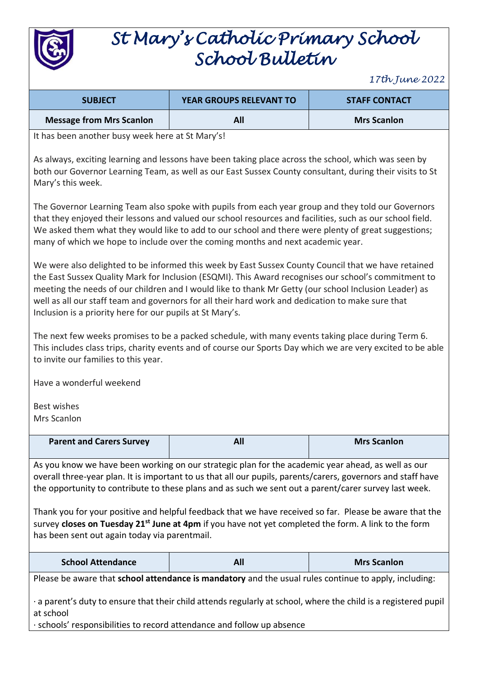

## *St Mary's Catholic Primary School School Bulletin*

*17th June 2022*

| <b>SUBJECT</b>                                                                                                                                                                                                                                                                                                                                                                                                                                                                         | YEAR GROUPS RELEVANT TO | <b>STAFF CONTACT</b> |  |
|----------------------------------------------------------------------------------------------------------------------------------------------------------------------------------------------------------------------------------------------------------------------------------------------------------------------------------------------------------------------------------------------------------------------------------------------------------------------------------------|-------------------------|----------------------|--|
| <b>Message from Mrs Scanlon</b>                                                                                                                                                                                                                                                                                                                                                                                                                                                        | All                     | <b>Mrs Scanlon</b>   |  |
| It has been another busy week here at St Mary's!                                                                                                                                                                                                                                                                                                                                                                                                                                       |                         |                      |  |
| As always, exciting learning and lessons have been taking place across the school, which was seen by<br>both our Governor Learning Team, as well as our East Sussex County consultant, during their visits to St<br>Mary's this week.                                                                                                                                                                                                                                                  |                         |                      |  |
| The Governor Learning Team also spoke with pupils from each year group and they told our Governors<br>that they enjoyed their lessons and valued our school resources and facilities, such as our school field.<br>We asked them what they would like to add to our school and there were plenty of great suggestions;<br>many of which we hope to include over the coming months and next academic year.                                                                              |                         |                      |  |
| We were also delighted to be informed this week by East Sussex County Council that we have retained<br>the East Sussex Quality Mark for Inclusion (ESQMI). This Award recognises our school's commitment to<br>meeting the needs of our children and I would like to thank Mr Getty (our school Inclusion Leader) as<br>well as all our staff team and governors for all their hard work and dedication to make sure that<br>Inclusion is a priority here for our pupils at St Mary's. |                         |                      |  |
| The next few weeks promises to be a packed schedule, with many events taking place during Term 6.<br>This includes class trips, charity events and of course our Sports Day which we are very excited to be able<br>to invite our families to this year.                                                                                                                                                                                                                               |                         |                      |  |
| Have a wonderful weekend                                                                                                                                                                                                                                                                                                                                                                                                                                                               |                         |                      |  |
| <b>Best wishes</b><br>Mrs Scanlon                                                                                                                                                                                                                                                                                                                                                                                                                                                      |                         |                      |  |
| <b>Parent and Carers Survey</b>                                                                                                                                                                                                                                                                                                                                                                                                                                                        | All                     | <b>Mrs Scanlon</b>   |  |
| As you know we have been working on our strategic plan for the academic year ahead, as well as our<br>overall three-year plan. It is important to us that all our pupils, parents/carers, governors and staff have<br>the opportunity to contribute to these plans and as such we sent out a parent/carer survey last week.                                                                                                                                                            |                         |                      |  |
| Thank you for your positive and helpful feedback that we have received so far. Please be aware that the<br>survey closes on Tuesday 21 <sup>st</sup> June at 4pm if you have not yet completed the form. A link to the form<br>has been sent out again today via parentmail.                                                                                                                                                                                                           |                         |                      |  |
| <b>School Attendance</b>                                                                                                                                                                                                                                                                                                                                                                                                                                                               | All                     | <b>Mrs Scanlon</b>   |  |
| Please be aware that school attendance is mandatory and the usual rules continue to apply, including:                                                                                                                                                                                                                                                                                                                                                                                  |                         |                      |  |
| · a parent's duty to ensure that their child attends regularly at school, where the child is a registered pupil<br>at school<br>· schools' responsibilities to record attendance and follow up absence                                                                                                                                                                                                                                                                                 |                         |                      |  |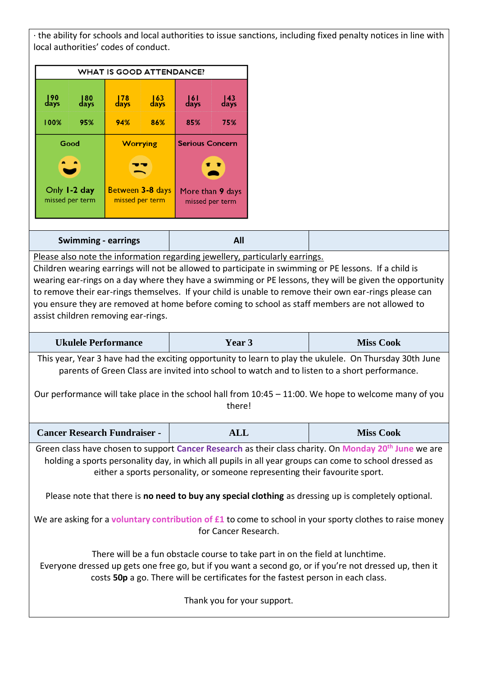· the ability for schools and local authorities to issue sanctions, including fixed penalty notices in line with local authorities' codes of conduct.

|                    | <b>WHAT IS GOOD ATTENDANCE?</b>         |                                                        |                                  |                                                               |                                  |
|--------------------|-----------------------------------------|--------------------------------------------------------|----------------------------------|---------------------------------------------------------------|----------------------------------|
| 90<br>days<br>100% | 80<br>days<br>95%                       | $\frac{178}{\text{days}}$<br>94%                       | $\frac{163}{\text{days}}$<br>86% | $\frac{161}{\text{days}}$<br>85%                              | $\frac{143}{\text{days}}$<br>75% |
|                    |                                         |                                                        |                                  |                                                               |                                  |
|                    | Good<br>Only 1-2 day<br>missed per term | <b>Worrying</b><br>Between 3-8 days<br>missed per term |                                  | <b>Serious Concern</b><br>More than 9 days<br>missed per term |                                  |

Please also note the information regarding jewellery, particularly earrings.

Children wearing earrings will not be allowed to participate in swimming or PE lessons. If a child is wearing ear-rings on a day where they have a swimming or PE lessons, they will be given the opportunity to remove their ear-rings themselves. If your child is unable to remove their own ear-rings please can you ensure they are removed at home before coming to school as staff members are not allowed to assist children removing ear-rings.

| <b>Ukulele Performance</b>                                                                                                                                                                                                                                                                                 | <b>Year 3</b> | <b>Miss Cook</b> |  |
|------------------------------------------------------------------------------------------------------------------------------------------------------------------------------------------------------------------------------------------------------------------------------------------------------------|---------------|------------------|--|
| This year, Year 3 have had the exciting opportunity to learn to play the ukulele. On Thursday 30th June<br>parents of Green Class are invited into school to watch and to listen to a short performance.                                                                                                   |               |                  |  |
| Our performance will take place in the school hall from $10:45 - 11:00$ . We hope to welcome many of you<br>there!                                                                                                                                                                                         |               |                  |  |
| <b>Cancer Research Fundraiser -</b>                                                                                                                                                                                                                                                                        | <b>ALL</b>    | <b>Miss Cook</b> |  |
| Green class have chosen to support Cancer Research as their class charity. On Monday 20 <sup>th</sup> June we are<br>holding a sports personality day, in which all pupils in all year groups can come to school dressed as<br>either a sports personality, or someone representing their favourite sport. |               |                  |  |

Please note that there is **no need to buy any special clothing** as dressing up is completely optional.

We are asking for a **voluntary contribution of £1** to come to school in your sporty clothes to raise money for Cancer Research.

There will be a fun obstacle course to take part in on the field at lunchtime. Everyone dressed up gets one free go, but if you want a second go, or if you're not dressed up, then it costs **50p** a go. There will be certificates for the fastest person in each class.

Thank you for your support.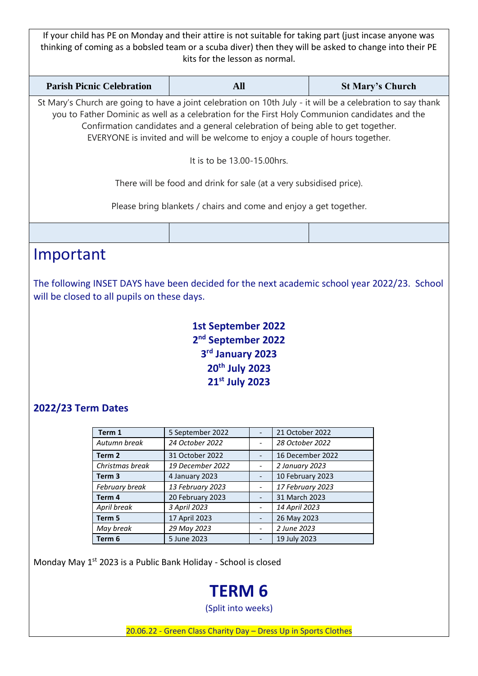If your child has PE on Monday and their attire is not suitable for taking part (just incase anyone was thinking of coming as a bobsled team or a scuba diver) then they will be asked to change into their PE kits for the lesson as normal.

| <b>Parish Picnic Celebration</b>                                                                                                                                                                                                                                                                                                                                                  | All | <b>St Mary's Church</b> |  |
|-----------------------------------------------------------------------------------------------------------------------------------------------------------------------------------------------------------------------------------------------------------------------------------------------------------------------------------------------------------------------------------|-----|-------------------------|--|
| St Mary's Church are going to have a joint celebration on 10th July - it will be a celebration to say thank<br>you to Father Dominic as well as a celebration for the First Holy Communion candidates and the<br>Confirmation candidates and a general celebration of being able to get together.<br>EVERYONE is invited and will be welcome to enjoy a couple of hours together. |     |                         |  |
| It is to be 13.00-15.00hrs.                                                                                                                                                                                                                                                                                                                                                       |     |                         |  |
| There will be food and drink for sale (at a very subsidised price).                                                                                                                                                                                                                                                                                                               |     |                         |  |

Please bring blankets / chairs and come and enjoy a get together.

## Important

The following INSET DAYS have been decided for the next academic school year 2022/23. School will be closed to all pupils on these days.

> **1st September 2022 nd September 2022 rd January 2023 th July 2023 st July 2023**

## **2022/23 Term Dates**

| Term 1            | 5 September 2022 | 21 October 2022  |
|-------------------|------------------|------------------|
| Autumn break      | 24 October 2022  | 28 October 2022  |
| Term <sub>2</sub> | 31 October 2022  | 16 December 2022 |
| Christmas break   | 19 December 2022 | 2 January 2023   |
| Term <sub>3</sub> | 4 January 2023   | 10 February 2023 |
| February break    | 13 February 2023 | 17 February 2023 |
| Term 4            | 20 February 2023 | 31 March 2023    |
| April break       | 3 April 2023     | 14 April 2023    |
| Term 5            | 17 April 2023    | 26 May 2023      |
| May break         | 29 May 2023      | 2 June 2023      |
| Term 6            | 5 June 2023      | 19 July 2023     |

Monday May 1st 2023 is a Public Bank Holiday - School is closed

## **TERM 6**

(Split into weeks)

20.06.22 - Green Class Charity Day – Dress Up in Sports Clothes